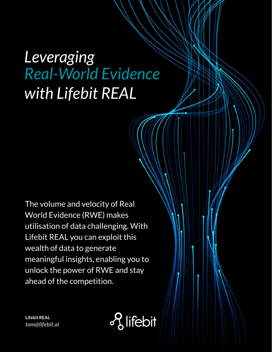# *Leveraging Real-World Evidence with Lifebit REAL*

The volume and velocity of Real World Evidence (RWE) makes utilisation of data challenging. With Lifebit REAL you can exploit this wealth of data to generate meaningful insights, enabling you to unlock the power of RWE and stay ahead of the competition.

o<sub>2</sub> lifebit

**Lifebit REAL** *tom@lifebit.ai*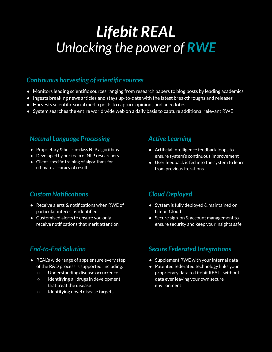## *Lifebit REAL Unlocking the power of RWE*

#### *Continuous harvesting of scientific sources*

- Monitors leading scientific sources ranging from research papers to blog posts by leading academics
- Ingests breaking news articles and stays up-to-date with the latest breakthroughs and releases
- Harvests scientific social media posts to capture opinions and anecdotes
- System searches the entire world wide web on a daily basis to capture additional relevant RWE

#### *Natural Language Processing*

- Proprietary & best-in-class NLP algorithms
- Developed by our team of NLP researchers
- Client-specific training of algorithms for ultimate accuracy of results

#### *Active Learning*

- Artificial Intelligence feedback loops to ensure system's continuous improvement
- User feedback is fed into the system to learn from previous iterations

#### *Custom Notifications*

- Receive alerts & notifications when RWE of particular interest is identified
- Customised alerts to ensure you only receive notifications that merit attention

#### *End-to-End Solution*

- REAL's wide range of apps ensure every step of the R&D process is supported, including:
	- Understanding disease occurrence
	- Identifying all drugs in development that treat the disease
	- Identifying novel disease targets

#### *Cloud Deployed*

- System is fully deployed & maintained on Lifebit Cloud
- Secure sign-on & account management to ensure security and keep your insights safe

#### *Secure Federated Integrations*

- Supplement RWE with your internal data
- Patented federated technology links your proprietary data to Lifebit REAL - without data ever leaving your own secure environment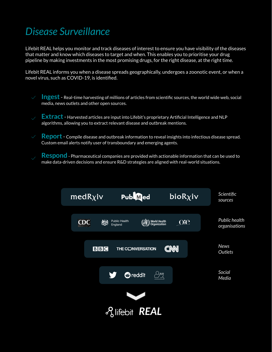### *Disease Surveillance to focus on the right disease*

Lifebit REAL helps you monitor and track diseases of interest to ensure you have visibility of the diseases that matter and know which diseases to target and when. This enables you to prioritise your drug pipeline by making investments in the most promising drugs, for the right disease, at the right time.

Lifebit REAL informs you when a disease spreads geographically, undergoes a zoonotic event, or when a novel virus, such as COVID-19, is identified.

- **Ingest** Real-time harvesting of millions of articles from scientific sources, the world wide web, social media, news outlets and other open sources.
- **Extract** Harvested articles are input into Lifebit's proprietary Artificial Intelligence and NLP algorithms, allowing you to extract relevant disease and outbreak mentions.
- $\lor\quad$  **Report** Compile disease and outbreak information to reveal insights into infectious disease spread. Custom email alerts notify user of transboundary and emerging agents.
- **Respond** Pharmaceutical companies are provided with actionable information that can be used to make data-driven decisions and ensure R&D strategies are aligned with real-world situations.

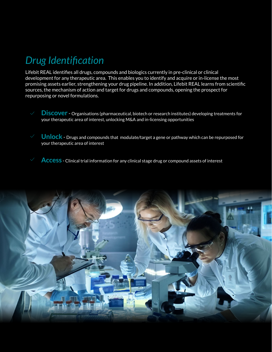## *Drug Identification*

Lifebit REAL identifies all drugs, compounds and biologics currently in pre-clinical or clinical development for any therapeutic area. This enables you to identify and acquire or in-license the most promising assets earlier, strengthening your drug pipeline. In addition, Lifebit REAL learns from scientific sources, the mechanism of action and target for drugs and compounds, opening the prospect for repurposing or novel formulations.

- **Discover** Organisations (pharmaceutical, biotech or research institutes) developing treatments for your therapeutic area of interest, unlocking M&A and in-licensing opportunities
- **Unlock** Drugs and compounds that modulate/target a gene or pathway which can be repurposed for your therapeutic area of interest
- **Access** Clinical trial information for any clinical stage drug or compound assets of interest

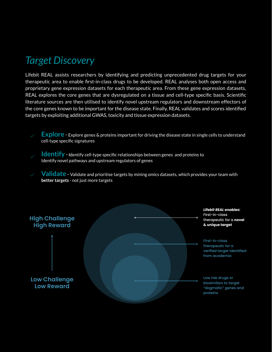## **Target Discovery**

Lifebit REAL assists researchers by identifying and predicting unprecedented drug targets for your therapeutic area to enable first-in-class drugs to be developed. REAL analyses both open access and proprietary gene expression datasets for each therapeutic area. From these gene expression datasets, REAL explores the core genes that are dysregulated on a tissue and cell-type specific basis. Scientific literature sources are then utilised to identify novel upstream regulators and downstream effectors of the core genes known to be important for the disease state. Finally, REAL validates and scores identified targets by exploiting additional GWAS, toxicity and tissue expression datasets.

**Explore** - Explore genes & proteins important for driving the disease state in single cells to understand cell-type specific signatures

**Identify** - Identify cell-type specific relationships between genes and proteins to Identify novel pathways and upstream regulators of genes

**Validate** - Validate and prioritise targets by mining omics datasets, which provides your team with **better targets** - not just more targets